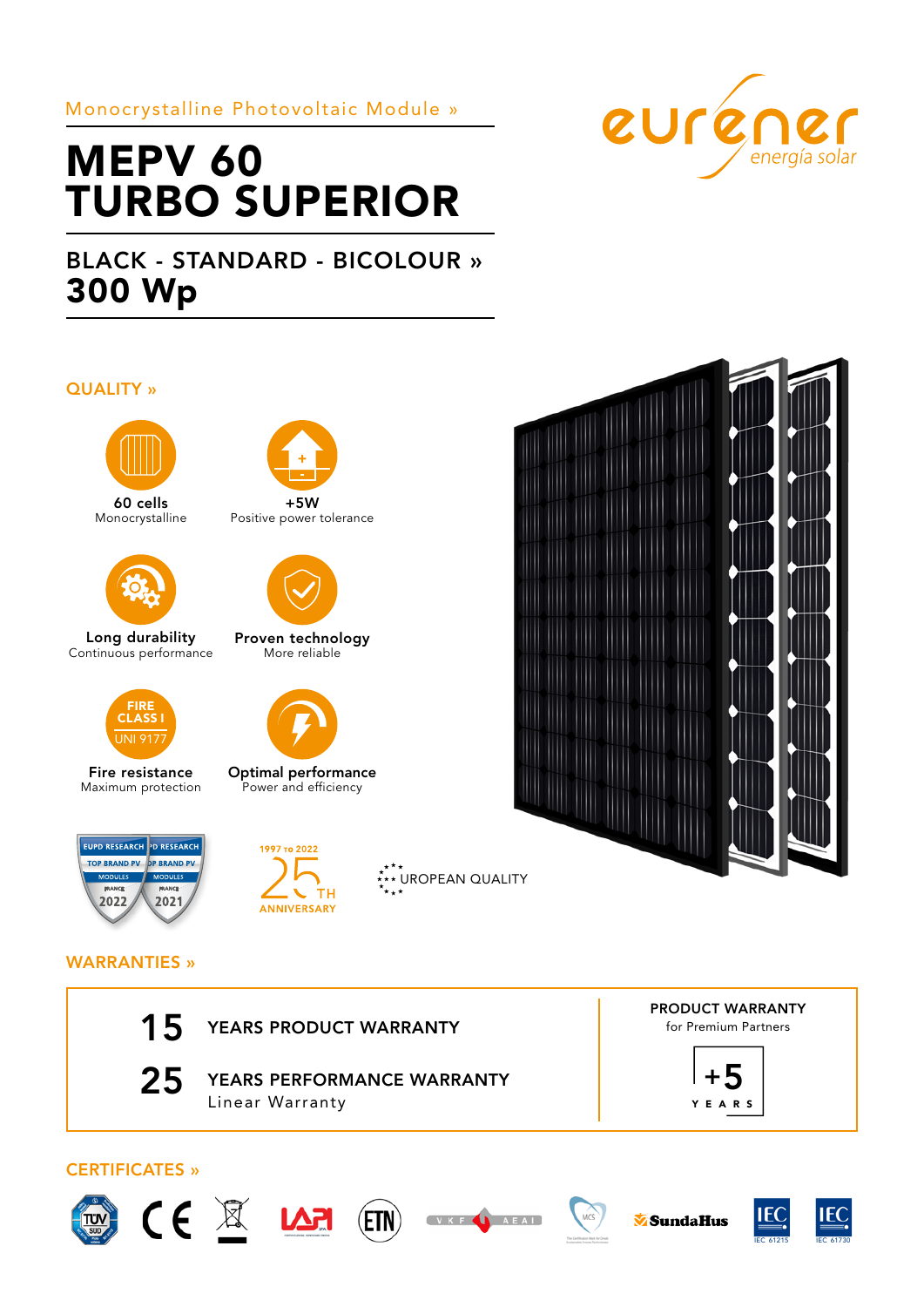# Monocrystalline Photovoltaic Module »

# MEPV 60 TURBO SUPERIOR

# BLACK - STANDARD - BICOLOUR » 300 Wp

### QUALITY »



60 cells Monocrystalline



Long durability Continuous performance



Fire resistance Maximum protection







Proven technology More reliable



Optimal performance Power and efficiency





## WARRANTIES »